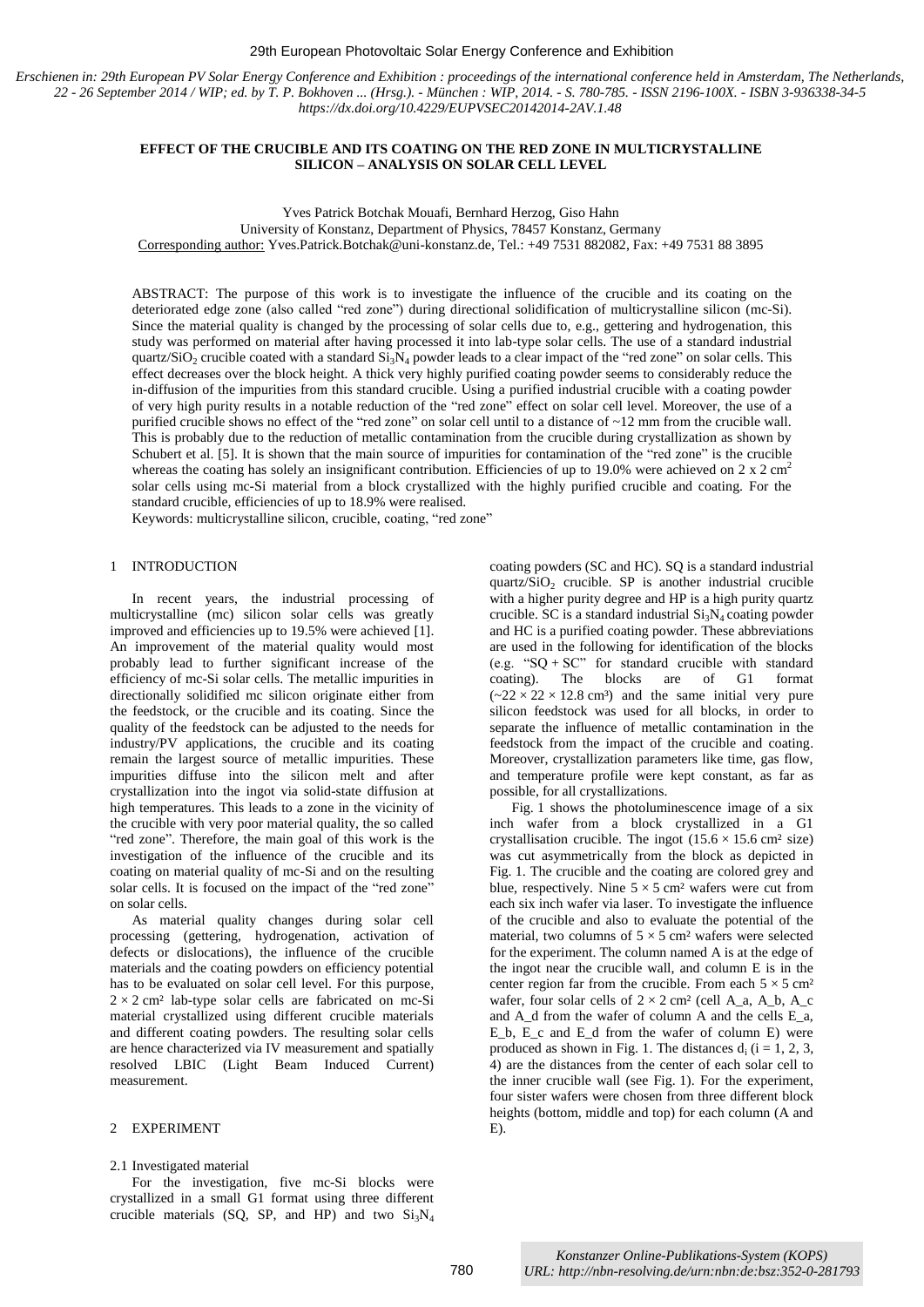#### 29th European Photovoltaic Solar Energy Conference and Exhibition

*Erschienen in: 29th European PV Solar Energy Conference and Exhibition : proceedings of the international conference held in Amsterdam, The Netherlands, 22 - 26 September 2014 / WIP; ed. by T. P. Bokhoven ... (Hrsg.). - München : WIP, 2014. - S. 780-785. - ISSN 2196-100X. - ISBN 3-936338-34-5 https://dx.doi.org/10.4229/EUPVSEC20142014-2AV.1.48*

# **EFFECT OF THE CRUCIBLE AND ITS COATING ON THE RED ZONE IN MULTICRYSTALLINE SILICON – ANALYSIS ON SOLAR CELL LEVEL**

Yves Patrick Botchak Mouafi, Bernhard Herzog, Giso Hahn

University of Konstanz, Department of Physics, 78457 Konstanz, Germany

Corresponding author: Yves.Patrick.Botchak@uni-konstanz.de, Tel.: +49 7531 882082, Fax: +49 7531 88 3895

ABSTRACT: The purpose of this work is to investigate the influence of the crucible and its coating on the deteriorated edge zone (also called "red zone") during directional solidification of multicrystalline silicon (mc-Si). Since the material quality is changed by the processing of solar cells due to, e.g., gettering and hydrogenation, this study was performed on material after having processed it into lab-type solar cells. The use of a standard industrial quartz/SiO<sub>2</sub> crucible coated with a standard  $Si_3N_4$  powder leads to a clear impact of the "red zone" on solar cells. This effect decreases over the block height. A thick very highly purified coating powder seems to considerably reduce the in-diffusion of the impurities from this standard crucible. Using a purified industrial crucible with a coating powder of very high purity results in a notable reduction of the "red zone" effect on solar cell level. Moreover, the use of a purified crucible shows no effect of the "red zone" on solar cell until to a distance of ~12 mm from the crucible wall. This is probably due to the reduction of metallic contamination from the crucible during crystallization as shown by Schubert et al. [5]. It is shown that the main source of impurities for contamination of the "red zone" is the crucible whereas the coating has solely an insignificant contribution. Efficiencies of up to 19.0% were achieved on 2 x 2 cm<sup>2</sup> solar cells using mc-Si material from a block crystallized with the highly purified crucible and coating. For the standard crucible, efficiencies of up to 18.9% were realised.

Keywords: multicrystalline silicon, crucible, coating, "red zone"

## 1 INTRODUCTION

In recent years, the industrial processing of multicrystalline (mc) silicon solar cells was greatly improved and efficiencies up to 19.5% were achieved [1]. An improvement of the material quality would most probably lead to further significant increase of the efficiency of mc-Si solar cells. The metallic impurities in directionally solidified mc silicon originate either from the feedstock, or the crucible and its coating. Since the quality of the feedstock can be adjusted to the needs for industry/PV applications, the crucible and its coating remain the largest source of metallic impurities. These impurities diffuse into the silicon melt and after crystallization into the ingot via solid-state diffusion at high temperatures. This leads to a zone in the vicinity of the crucible with very poor material quality, the so called "red zone". Therefore, the main goal of this work is the investigation of the influence of the crucible and its coating on material quality of mc-Si and on the resulting solar cells. It is focused on the impact of the "red zone" on solar cells.

As material quality changes during solar cell processing (gettering, hydrogenation, activation of defects or dislocations), the influence of the crucible materials and the coating powders on efficiency potential has to be evaluated on solar cell level. For this purpose,  $2 \times 2$  cm<sup>2</sup> lab-type solar cells are fabricated on mc-Si material crystallized using different crucible materials and different coating powders. The resulting solar cells are hence characterized via IV measurement and spatially resolved LBIC (Light Beam Induced Current) measurement.

# 2 EXPERIMENT

#### 2.1 Investigated material

For the investigation, five mc-Si blocks were crystallized in a small G1 format using three different crucible materials (SQ, SP, and HP) and two  $Si<sub>3</sub>N<sub>4</sub>$  coating powders (SC and HC). SQ is a standard industrial quartz/ $SiO<sub>2</sub>$  crucible. SP is another industrial crucible with a higher purity degree and HP is a high purity quartz crucible. SC is a standard industrial  $Si<sub>3</sub>N<sub>4</sub>$  coating powder and HC is a purified coating powder. These abbreviations are used in the following for identification of the blocks (e.g. " $SQ + SC$ " for standard crucible with standard coating). The blocks are of G1 format  $(-22 \times 22 \times 12.8$  cm<sup>3</sup>) and the same initial very pure silicon feedstock was used for all blocks, in order to separate the influence of metallic contamination in the feedstock from the impact of the crucible and coating. Moreover, crystallization parameters like time, gas flow, and temperature profile were kept constant, as far as possible, for all crystallizations.

Fig. 1 shows the photoluminescence image of a six inch wafer from a block crystallized in a G1 crystallisation crucible. The ingot  $(15.6 \times 15.6 \text{ cm}^2 \text{ size})$ was cut asymmetrically from the block as depicted in Fig. 1. The crucible and the coating are colored grey and blue, respectively. Nine  $5 \times 5$  cm<sup>2</sup> wafers were cut from each six inch wafer via laser. To investigate the influence of the crucible and also to evaluate the potential of the material, two columns of  $5 \times 5$  cm<sup>2</sup> wafers were selected for the experiment. The column named A is at the edge of the ingot near the crucible wall, and column E is in the center region far from the crucible. From each  $5 \times 5$  cm<sup>2</sup> wafer, four solar cells of  $2 \times 2$  cm<sup>2</sup> (cell A\_a, A\_b, A\_c and A\_d from the wafer of column A and the cells E\_a,  $E_b$ ,  $E_c$  and  $E_d$  from the wafer of column E) were produced as shown in Fig. 1. The distances  $d_i$  ( $i = 1, 2, 3$ , 4) are the distances from the center of each solar cell to the inner crucible wall (see Fig. 1). For the experiment, four sister wafers were chosen from three different block heights (bottom, middle and top) for each column (A and E).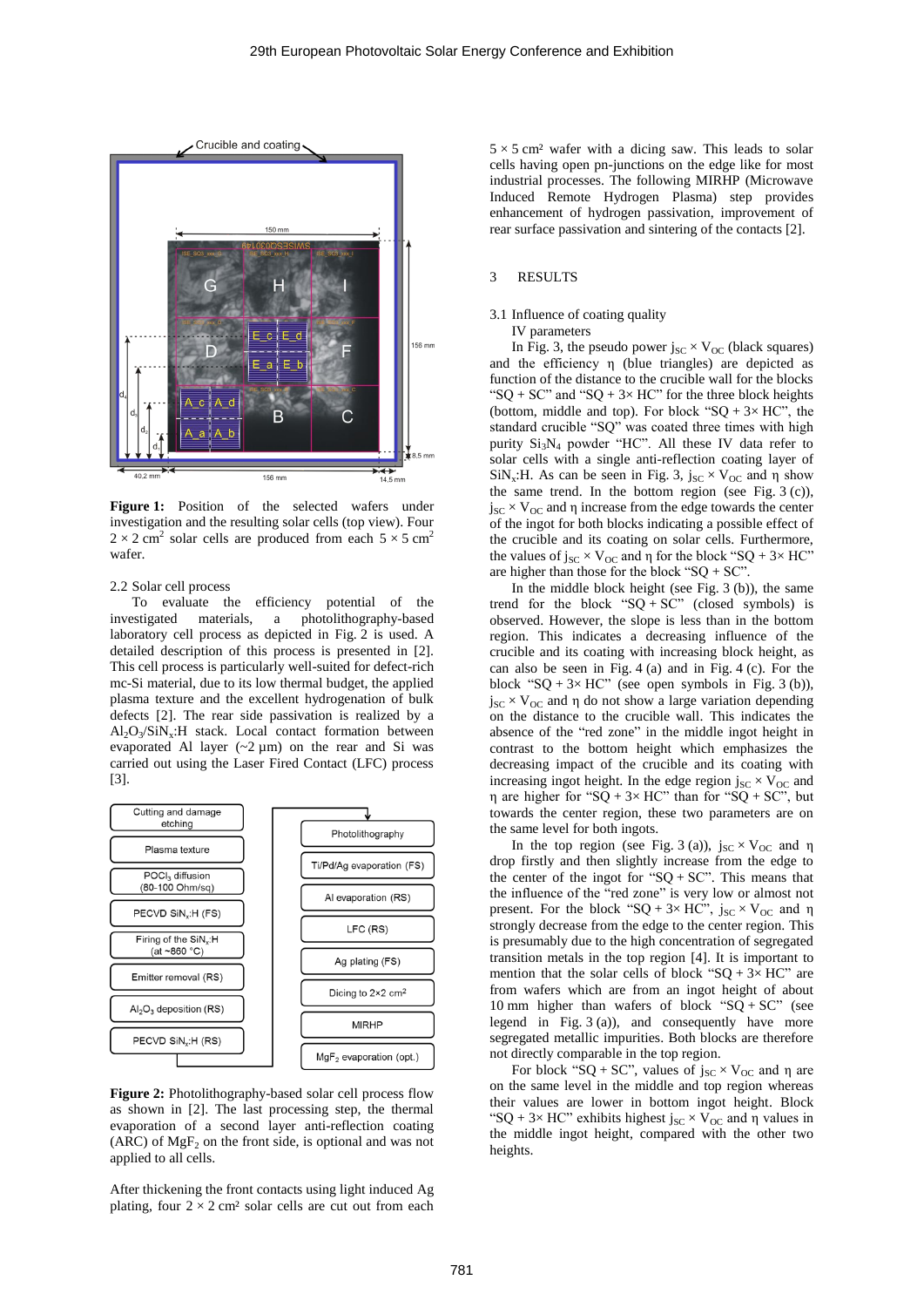

**Figure 1:** Position of the selected wafers under investigation and the resulting solar cells (top view). Four  $2 \times 2$  cm<sup>2</sup> solar cells are produced from each  $5 \times 5$  cm<sup>2</sup> wafer.

## 2.2 Solar cell process

To evaluate the efficiency potential of the investigated materials, a photolithography-based laboratory cell process as depicted in Fig. 2 is used. A detailed description of this process is presented in [2]. This cell process is particularly well-suited for defect-rich mc-Si material, due to its low thermal budget, the applied plasma texture and the excellent hydrogenation of bulk defects [2]. The rear side passivation is realized by a  $Al_2O_3/SiN_x:H$  stack. Local contact formation between evaporated Al layer  $(-2 \mu m)$  on the rear and Si was carried out using the Laser Fired Contact (LFC) process [3].



**Figure 2:** Photolithography-based solar cell process flow as shown in [2]. The last processing step, the thermal evaporation of a second layer anti-reflection coating (ARC) of  $MgF_2$  on the front side, is optional and was not applied to all cells.

After thickening the front contacts using light induced Ag plating, four  $2 \times 2$  cm<sup>2</sup> solar cells are cut out from each

 $5 \times 5$  cm<sup>2</sup> wafer with a dicing saw. This leads to solar cells having open pn-junctions on the edge like for most industrial processes. The following MIRHP (Microwave Induced Remote Hydrogen Plasma) step provides enhancement of hydrogen passivation, improvement of rear surface passivation and sintering of the contacts [2].

## 3 RESULTS

### 3.1 Influence of coating quality

IV parameters

In Fig. 3, the pseudo power  $j_{SC} \times V_{OC}$  (black squares) and the efficiency η (blue triangles) are depicted as function of the distance to the crucible wall for the blocks "SQ + SC" and "SQ +  $3 \times$  HC" for the three block heights (bottom, middle and top). For block " $SQ + 3 \times HC$ ", the standard crucible "SQ" was coated three times with high purity  $Si<sub>3</sub>N<sub>4</sub>$  powder "HC". All these IV data refer to solar cells with a single anti-reflection coating layer of SiN<sub>x</sub>:H. As can be seen in Fig. 3,  $j_{SC} \times V_{OC}$  and  $\eta$  show the same trend. In the bottom region (see Fig.  $3$  (c)),  $j_{\rm SC} \times V_{\rm OC}$  and η increase from the edge towards the center of the ingot for both blocks indicating a possible effect of the crucible and its coating on solar cells. Furthermore, the values of  $j_{SC} \times V_{OC}$  and  $\eta$  for the block "SQ + 3× HC" are higher than those for the block "SQ + SC".

In the middle block height (see Fig. 3 (b)), the same trend for the block " $SQ + SC$ " (closed symbols) is observed. However, the slope is less than in the bottom region. This indicates a decreasing influence of the crucible and its coating with increasing block height, as can also be seen in Fig. 4 (a) and in Fig. 4 (c). For the block "SQ +  $3 \times$  HC" (see open symbols in Fig. 3 (b)),  $j_{SC} \times V_{OC}$  and  $\eta$  do not show a large variation depending on the distance to the crucible wall. This indicates the absence of the "red zone" in the middle ingot height in contrast to the bottom height which emphasizes the decreasing impact of the crucible and its coating with increasing ingot height. In the edge region  $j_{SC} \times V_{OC}$  and η are higher for "SQ + 3× HC" than for "SQ + SC", but towards the center region, these two parameters are on the same level for both ingots.

In the top region (see Fig. 3 (a)),  $j_{SC} \times V_{OC}$  and η drop firstly and then slightly increase from the edge to the center of the ingot for " $SQ + SC$ ". This means that the influence of the "red zone" is very low or almost not present. For the block "SQ + 3× HC",  $j_{SC}$  × V<sub>OC</sub> and  $\eta$ strongly decrease from the edge to the center region. This is presumably due to the high concentration of segregated transition metals in the top region [4]. It is important to mention that the solar cells of block " $SQ + 3 \times HC$ " are from wafers which are from an ingot height of about 10 mm higher than wafers of block " $SQ + SC$ " (see legend in Fig. 3 (a)), and consequently have more segregated metallic impurities. Both blocks are therefore not directly comparable in the top region.

For block "SQ + SC", values of  $j_{SC} \times V_{OC}$  and  $\eta$  are on the same level in the middle and top region whereas their values are lower in bottom ingot height. Block "SQ + 3× HC" exhibits highest  $j_{SC} \times V_{OC}$  and  $\eta$  values in the middle ingot height, compared with the other two heights.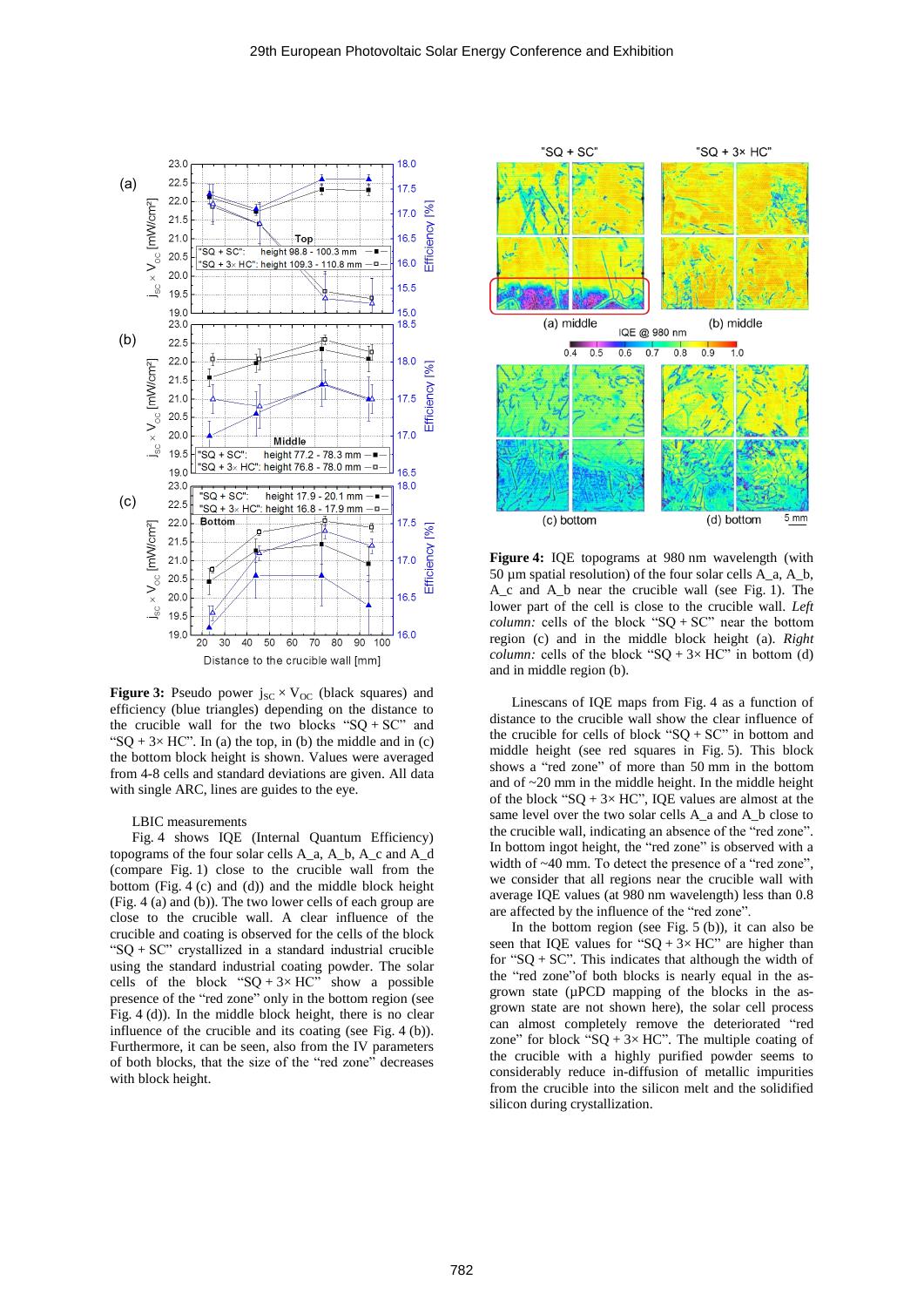

**Figure 3:** Pseudo power  $j_{SC} \times V_{OC}$  (black squares) and efficiency (blue triangles) depending on the distance to the crucible wall for the two blocks " $SQ + SC$ " and "SQ +  $3 \times$  HC". In (a) the top, in (b) the middle and in (c) the bottom block height is shown. Values were averaged from 4-8 cells and standard deviations are given. All data with single ARC, lines are guides to the eye.

LBIC measurements

Fig. 4 shows IQE (Internal Quantum Efficiency) topograms of the four solar cells A\_a, A\_b, A\_c and A\_d (compare Fig. 1) close to the crucible wall from the bottom (Fig. 4 (c) and (d)) and the middle block height (Fig. 4 (a) and (b)). The two lower cells of each group are close to the crucible wall. A clear influence of the crucible and coating is observed for the cells of the block " $SQ + SC$ " crystallized in a standard industrial crucible using the standard industrial coating powder. The solar cells of the block " $SQ + 3 \times HC$ " show a possible presence of the "red zone" only in the bottom region (see Fig. 4 (d)). In the middle block height, there is no clear influence of the crucible and its coating (see Fig. 4 (b)). Furthermore, it can be seen, also from the IV parameters of both blocks, that the size of the "red zone" decreases with block height.



**Figure 4:** IQE topograms at 980 nm wavelength (with 50 µm spatial resolution) of the four solar cells A\_a, A\_b, A\_c and A\_b near the crucible wall (see Fig. 1). The lower part of the cell is close to the crucible wall. *Left column:* cells of the block " $SQ + SC$ " near the bottom region (c) and in the middle block height (a). *Right column:* cells of the block " $SQ + 3 \times HC$ " in bottom (d) and in middle region (b).

Linescans of IQE maps from Fig. 4 as a function of distance to the crucible wall show the clear influence of the crucible for cells of block " $SQ + SC$ " in bottom and middle height (see red squares in Fig. 5). This block shows a "red zone" of more than 50 mm in the bottom and of  $\sim$ 20 mm in the middle height. In the middle height of the block " $SQ + 3 \times HC$ ", IQE values are almost at the same level over the two solar cells A a and A b close to the crucible wall, indicating an absence of the "red zone". In bottom ingot height, the "red zone" is observed with a width of ~40 mm. To detect the presence of a "red zone", we consider that all regions near the crucible wall with average IQE values (at 980 nm wavelength) less than 0.8 are affected by the influence of the "red zone".

In the bottom region (see Fig.  $5<sub>(b)</sub>$ ), it can also be seen that IQE values for " $SQ + 3 \times HC$ " are higher than for "SQ + SC". This indicates that although the width of the "red zone"of both blocks is nearly equal in the asgrown state (µPCD mapping of the blocks in the asgrown state are not shown here), the solar cell process can almost completely remove the deteriorated "red zone" for block "SQ +  $3 \times$  HC". The multiple coating of the crucible with a highly purified powder seems to considerably reduce in-diffusion of metallic impurities from the crucible into the silicon melt and the solidified silicon during crystallization.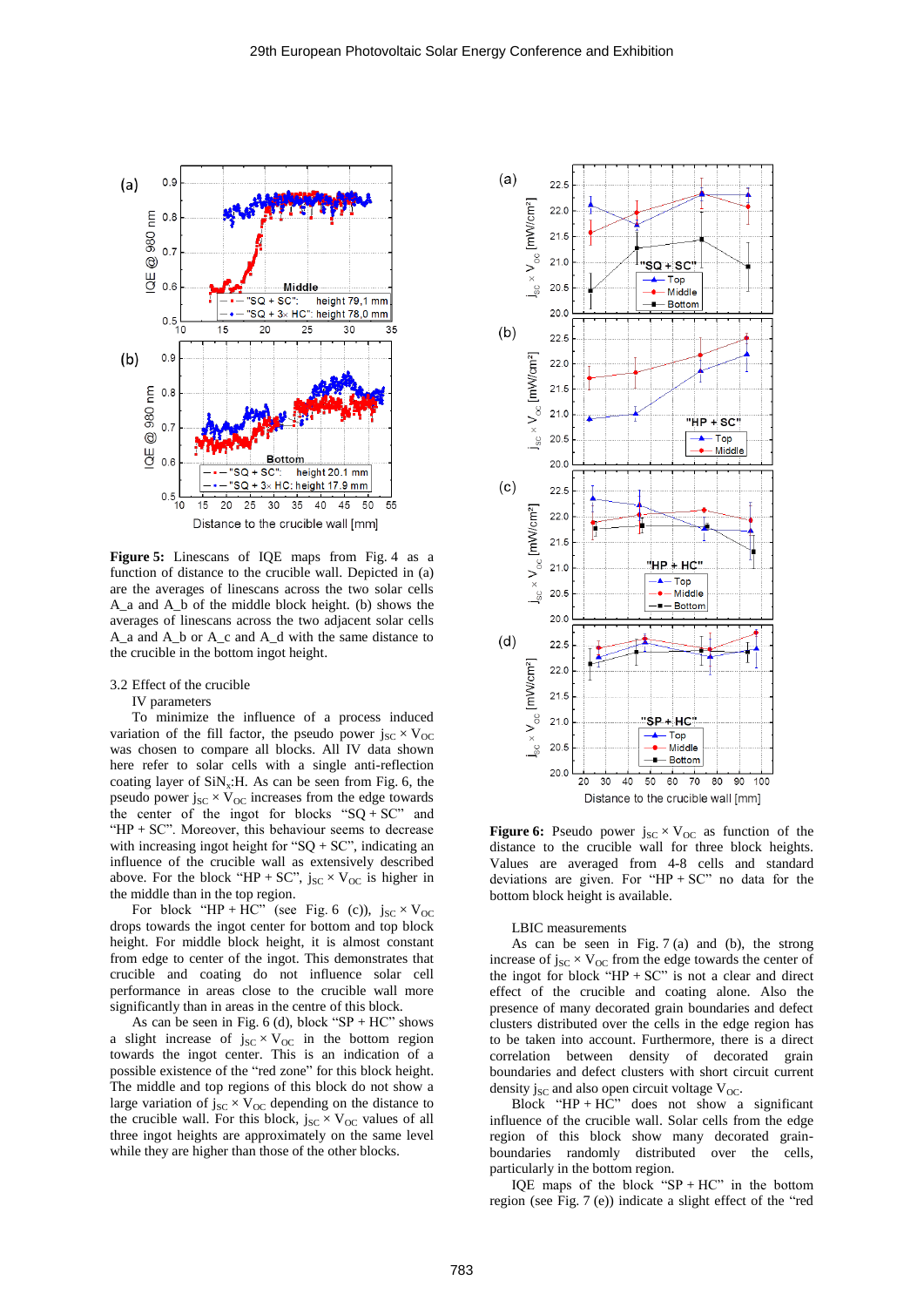

**Figure 5:** Linescans of IQE maps from Fig. 4 as a function of distance to the crucible wall. Depicted in (a) are the averages of linescans across the two solar cells A\_a and A\_b of the middle block height. (b) shows the averages of linescans across the two adjacent solar cells A\_a and A\_b or A\_c and A\_d with the same distance to the crucible in the bottom ingot height.

3.2 Effect of the crucible

IV parameters

To minimize the influence of a process induced variation of the fill factor, the pseudo power  $j_{SC} \times V_{OC}$ was chosen to compare all blocks. All IV data shown here refer to solar cells with a single anti-reflection coating layer of  $\text{SiN}_x$ : H. As can be seen from Fig. 6, the pseudo power  $j_{SC} \times V_{OC}$  increases from the edge towards the center of the ingot for blocks " $SQ + SC$ " and "HP  $+$  SC". Moreover, this behaviour seems to decrease with increasing ingot height for " $SQ + SC$ ", indicating an influence of the crucible wall as extensively described above. For the block "HP + SC",  $j_{SC} \times V_{OC}$  is higher in the middle than in the top region.

For block "HP + HC" (see Fig. 6 (c)),  $j_{SC} \times V_{OC}$ drops towards the ingot center for bottom and top block height. For middle block height, it is almost constant from edge to center of the ingot. This demonstrates that crucible and coating do not influence solar cell performance in areas close to the crucible wall more significantly than in areas in the centre of this block.

As can be seen in Fig.  $6$  (d), block "SP + HC" shows a slight increase of  $j_{SC} \times V_{OC}$  in the bottom region towards the ingot center. This is an indication of a possible existence of the "red zone" for this block height. The middle and top regions of this block do not show a large variation of  $j_{SC} \times V_{OC}$  depending on the distance to the crucible wall. For this block,  $j_{SC} \times V_{OC}$  values of all three ingot heights are approximately on the same level while they are higher than those of the other blocks.



**Figure 6:** Pseudo power  $j_{SC} \times V_{OC}$  as function of the distance to the crucible wall for three block heights. Values are averaged from 4-8 cells and standard deviations are given. For " $HP + SC$ " no data for the bottom block height is available.

LBIC measurements

As can be seen in Fig. 7 (a) and (b), the strong increase of  $j_{SC} \times V_{OC}$  from the edge towards the center of the ingot for block "HP  $+$  SC" is not a clear and direct effect of the crucible and coating alone. Also the presence of many decorated grain boundaries and defect clusters distributed over the cells in the edge region has to be taken into account. Furthermore, there is a direct correlation between density of decorated grain boundaries and defect clusters with short circuit current density  $j_{SC}$  and also open circuit voltage  $V_{OC}$ .

Block "HP +  $\overline{HC}$ " does not show a significant influence of the crucible wall. Solar cells from the edge region of this block show many decorated grainboundaries randomly distributed over the cells, particularly in the bottom region.

IQE maps of the block "SP + HC" in the bottom region (see Fig. 7 (e)) indicate a slight effect of the "red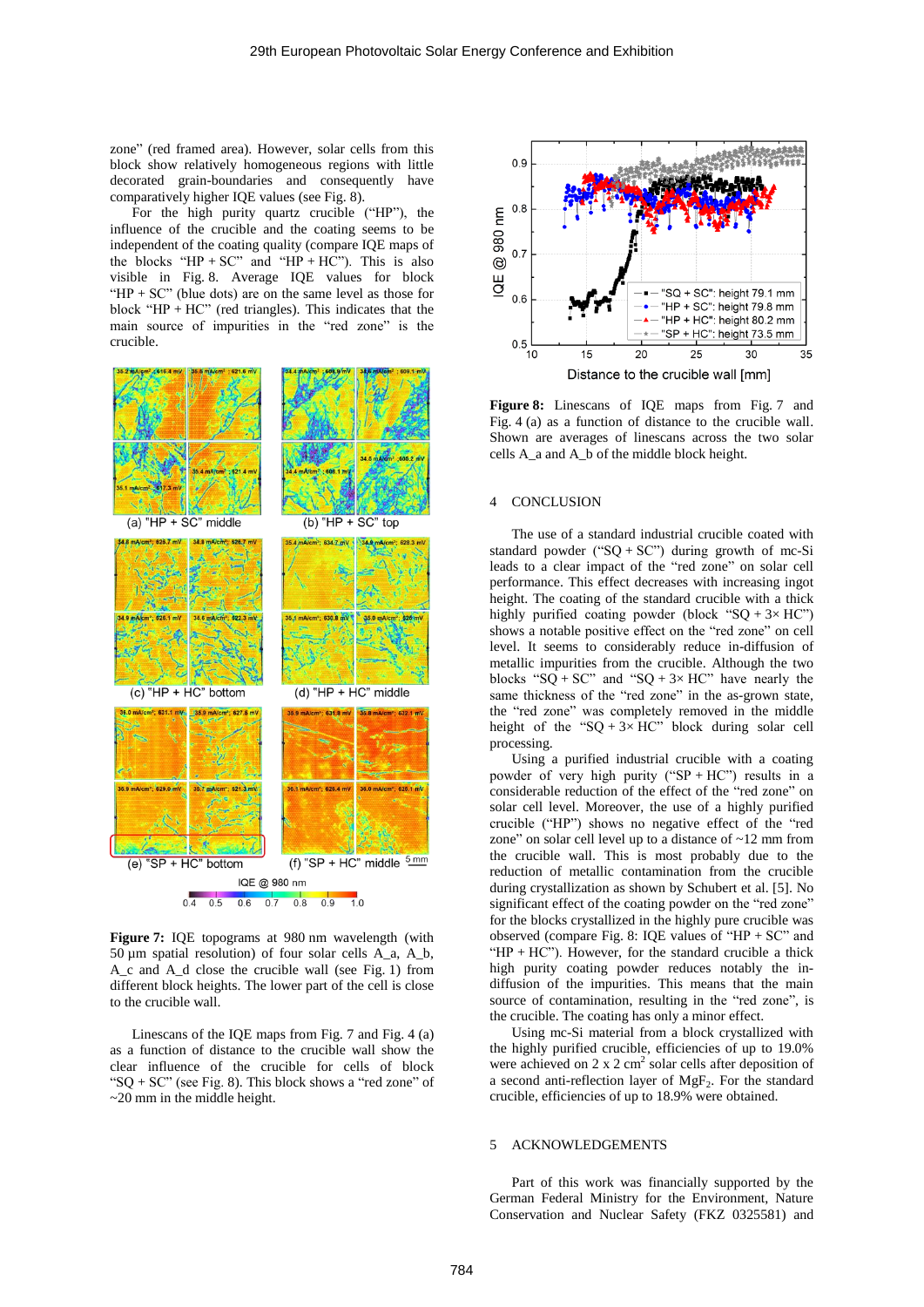zone" (red framed area). However, solar cells from this block show relatively homogeneous regions with little decorated grain-boundaries and consequently have comparatively higher IQE values (see Fig. 8).

For the high purity quartz crucible ("HP"), the influence of the crucible and the coating seems to be independent of the coating quality (compare IQE maps of the blocks " $HP + SC$ " and " $HP + HC$ "). This is also visible in Fig. 8. Average IQE values for block "HP  $+$  SC" (blue dots) are on the same level as those for block "HP + HC" (red triangles). This indicates that the main source of impurities in the "red zone" is the crucible.



**Figure 7:** IQE topograms at 980 nm wavelength (with 50 µm spatial resolution) of four solar cells A\_a, A\_b, A\_c and A\_d close the crucible wall (see Fig. 1) from different block heights. The lower part of the cell is close to the crucible wall.

Linescans of the IQE maps from Fig. 7 and Fig. 4 (a) as a function of distance to the crucible wall show the clear influence of the crucible for cells of block " $SQ + SC$ " (see Fig. 8). This block shows a "red zone" of ~20 mm in the middle height.



**Figure 8:** Linescans of IQE maps from Fig. 7 and Fig. 4 (a) as a function of distance to the crucible wall. Shown are averages of linescans across the two solar cells A\_a and A\_b of the middle block height.

# 4 CONCLUSION

The use of a standard industrial crucible coated with standard powder (" $SQ + SC$ ") during growth of mc-Si leads to a clear impact of the "red zone" on solar cell performance. This effect decreases with increasing ingot height. The coating of the standard crucible with a thick highly purified coating powder (block "SQ +  $3 \times$  HC") shows a notable positive effect on the "red zone" on cell level. It seems to considerably reduce in-diffusion of metallic impurities from the crucible. Although the two blocks "SQ + SC" and "SQ + 3× HC" have nearly the same thickness of the "red zone" in the as-grown state, the "red zone" was completely removed in the middle height of the "SQ + 3× HC" block during solar cell processing.

Using a purified industrial crucible with a coating powder of very high purity (" $SP + HC$ ") results in a considerable reduction of the effect of the "red zone" on solar cell level. Moreover, the use of a highly purified crucible ("HP") shows no negative effect of the "red zone" on solar cell level up to a distance of ~12 mm from the crucible wall. This is most probably due to the reduction of metallic contamination from the crucible during crystallization as shown by Schubert et al. [5]. No significant effect of the coating powder on the "red zone" for the blocks crystallized in the highly pure crucible was observed (compare Fig. 8: IQE values of "HP + SC" and " $HP + HC$ "). However, for the standard crucible a thick high purity coating powder reduces notably the indiffusion of the impurities. This means that the main source of contamination, resulting in the "red zone", is the crucible. The coating has only a minor effect.

Using mc-Si material from a block crystallized with the highly purified crucible, efficiencies of up to 19.0% were achieved on 2 x 2 cm<sup>2</sup> solar cells after deposition of a second anti-reflection layer of  $MgF_2$ . For the standard crucible, efficiencies of up to 18.9% were obtained.

#### 5 ACKNOWLEDGEMENTS

Part of this work was financially supported by the German Federal Ministry for the Environment, Nature Conservation and Nuclear Safety (FKZ 0325581) and